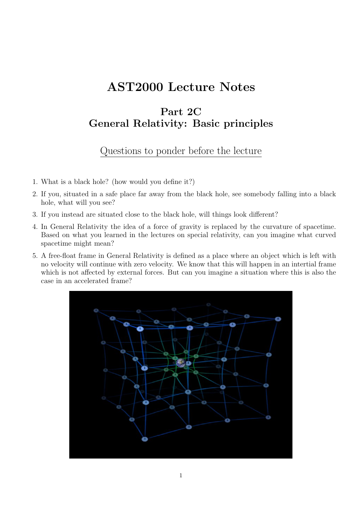# AST2000 Lecture Notes

# Part 2C General Relativity: Basic principles

## Questions to ponder before the lecture

- 1. What is a black hole? (how would you define it?)
- 2. If you, situated in a safe place far away from the black hole, see somebody falling into a black hole, what will you see?
- 3. If you instead are situated close to the black hole, will things look different?
- 4. In General Relativity the idea of a force of gravity is replaced by the curvature of spacetime. Based on what you learned in the lectures on special relativity, can you imagine what curved spacetime might mean?
- 5. A free-float frame in General Relativity is defined as a place where an object which is left with no velocity will continue with zero velocity. We know that this will happen in an intertial frame which is not affected by external forces. But can you imagine a situation where this is also the case in an accelerated frame?

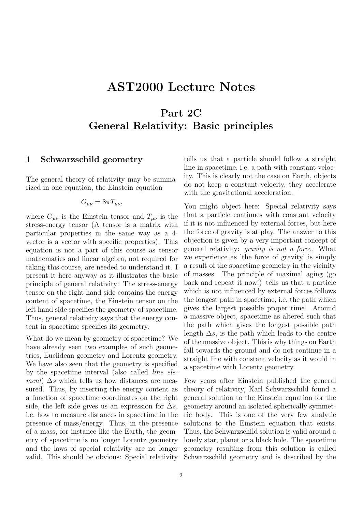# AST2000 Lecture Notes

# Part 2C General Relativity: Basic principles

### <span id="page-1-0"></span>1 Schwarzschild geometry

The general theory of relativity may be summarized in one equation, the Einstein equation

$$
G_{\mu\nu}=8\pi T_{\mu\nu},
$$

where  $G_{\mu\nu}$  is the Einstein tensor and  $T_{\mu\nu}$  is the stress-energy tensor (A tensor is a matrix with particular properties in the same way as a 4 vector is a vector with specific properties). This equation is not a part of this course as tensor mathematics and linear algebra, not required for taking this course, are needed to understand it. I present it here anyway as it illustrates the basic principle of general relativity: The stress-energy tensor on the right hand side contains the energy content of spacetime, the Einstein tensor on the left hand side specifies the geometry of spacetime. Thus, general relativity says that the energy content in spacetime specifies its geometry.

What do we mean by geometry of spacetime? We have already seen two examples of such geometries, Euclidean geometry and Lorentz geometry. We have also seen that the geometry is specified by the spacetime interval (also called line element)  $\Delta s$  which tells us how distances are measured. Thus, by inserting the energy content as a function of spacetime coordinates on the right side, the left side gives us an expression for  $\Delta s$ , i.e. how to measure distances in spacetime in the presence of mass/energy. Thus, in the presence of a mass, for instance like the Earth, the geometry of spacetime is no longer Lorentz geometry and the laws of special relativity are no longer valid. This should be obvious: Special relativity tells us that a particle should follow a straight line in spacetime, i.e. a path with constant velocity. This is clearly not the case on Earth, objects do not keep a constant velocity, they accelerate with the gravitational acceleration.

You might object here: Special relativity says that a particle continues with constant velocity if it is not influenced by external forces, but here the force of gravity is at play. The answer to this objection is given by a very important concept of general relativity: gravity is not a force. What we experience as 'the force of gravity' is simply a result of the spacetime geometry in the vicinity of masses. The principle of maximal aging (go back and repeat it now!) tells us that a particle which is not influenced by external forces follows the longest path in spacetime, i.e. the path which gives the largest possible proper time. Around a massive object, spacetime as altered such that the path which gives the longest possible path length  $\Delta s$ , is the path which leads to the centre of the massive object. This is why things on Earth fall towards the ground and do not continue in a straight line with constant velocity as it would in a spacetime with Lorentz geometry.

Few years after Einstein published the general theory of relativity, Karl Schwarzschild found a general solution to the Einstein equation for the geometry around an isolated spherically symmetric body. This is one of the very few analytic solutions to the Einstein equation that exists. Thus, the Schwarzschild solution is valid around a lonely star, planet or a black hole. The spacetime geometry resulting from this solution is called Schwarzschild geometry and is described by the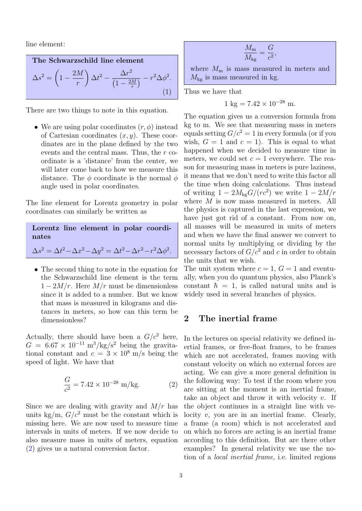line element:

<span id="page-2-1"></span>The Schwarzschild line element  
\n
$$
\Delta s^2 = \left(1 - \frac{2M}{r}\right) \Delta t^2 - \frac{\Delta r^2}{\left(1 - \frac{2M}{r}\right)} - r^2 \Delta \phi^2.
$$
\n(1)

There are two things to note in this equation.

• We are using polar coordinates  $(r, \phi)$  instead of Cartesian coordinates  $(x, y)$ . These coordinates are in the plane defined by the two events and the central mass. Thus, the r coordinate is a 'distance' from the center, we will later come back to how we measure this distance. The  $\phi$  coordinate is the normal  $\phi$ angle used in polar coordinates.

The line element for Lorentz geometry in polar coordinates can similarly be written as

| Lorentz line element in polar coordi-                                                              |  |  |  |
|----------------------------------------------------------------------------------------------------|--|--|--|
| nates                                                                                              |  |  |  |
| $\Delta s^2 = \Delta t^2 - \Delta x^2 - \Delta y^2 = \Delta t^2 - \Delta r^2 - r^2 \Delta \phi^2.$ |  |  |  |

• The second thing to note in the equation for the Schwarzschild line element is the term  $1-2M/r$ . Here  $M/r$  must be dimensionless since it is added to a number. But we know that mass is measured in kilograms and distances in meters, so how can this term be dimensionless?

Actually, there should have been a  $G/c^2$  here,  $G = 6.67 \times 10^{-11} \text{ m}^3/\text{kg/s}^2$  being the gravitational constant and  $c = 3 \times 10^8$  m/s being the speed of light. We have that

<span id="page-2-0"></span>
$$
\frac{G}{c^2} = 7.42 \times 10^{-28} \text{ m/kg.}
$$
 (2)

Since we are dealing with gravity and  $M/r$  has units kg/m,  $G/c^2$  must be the constant which is missing here. We are now used to measure time intervals in units of meters. If we now decide to also measure mass in units of meters, equation [\(2\)](#page-2-0) gives us a natural conversion factor.

$$
\frac{M_{\rm m}}{M_{\rm kg}} = \frac{G}{c^2},
$$

where  $M_{\rm m}$  is mass measured in meters and  $M_{\text{kg}}$  is mass measured in kg.

Thus we have that

$$
1 \text{ kg} = 7.42 \times 10^{-28} \text{ m}.
$$

The equation gives us a conversion formula from kg to m. We see that measuring mass in meters equals setting  $G/c^2 = 1$  in every formula (or if you wish,  $G = 1$  and  $c = 1$ ). This is equal to what happened when we decided to measure time in meters, we could set  $c = 1$  everywhere. The reason for measuring mass in meters is pure laziness, it means that we don't need to write this factor all the time when doing calculations. Thus instead of writing  $1 - 2M_{\text{kg}}G/(rc^2)$  we write  $1 - 2M/r$ where M is now mass measured in meters. All the physics is captured in the last expression, we have just got rid of a constant. From now on, all masses will be measured in units of meters and when we have the final answer we convert to normal units by multiplying or dividing by the necessary factors of  $G/c^2$  and c in order to obtain the units that we wish.

The unit system where  $c = 1$ ,  $G = 1$  and eventually, when you do quantum physics, also Planck's constant  $\hbar = 1$ , is called natural units and is widely used in several branches of physics.

### 2 The inertial frame

In the lectures on special relativity we defined inertial frames, or free-float frames, to be frames which are not accelerated, frames moving with constant velocity on which no external forces are acting. We can give a more general definition in the following way: To test if the room where you are sitting at the moment is an inertial frame, take an object and throw it with velocity  $v$ . If the object continues in a straight line with velocity  $v$ , you are in an inertial frame. Clearly, a frame (a room) which is not accelerated and on which no forces are acting is an inertial frame according to this definition. But are there other examples? In general relativity we use the notion of a local inertial frame, i.e. limited regions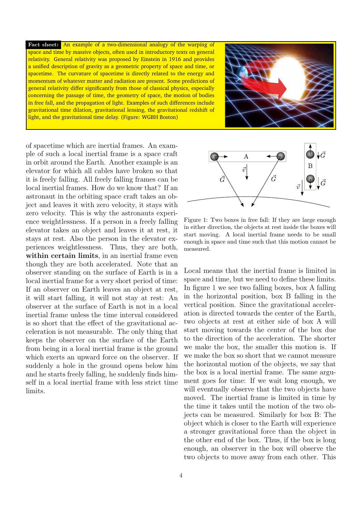Fact sheet: An example of a two-dimensional analogy of the warping of space and time by massive objects, often used in introductory texts on general relativity. General relativity was proposed by Einstein in 1916 and provides a unified description of gravity as a geometric property of space and time, or spacetime. The curvature of spacetime is directly related to the energy and momentum of whatever matter and radiation are present. Some predictions of general relativity differ significantly from those of classical physics, especially concerning the passage of time, the geometry of space, the motion of bodies in free fall, and the propagation of light. Examples of such differences include gravitational time dilation, gravitational lensing, the gravitational redshift of light, and the gravitational time delay. (Figure: WGBH Boston)



of spacetime which are inertial frames. An example of such a local inertial frame is a space craft in orbit around the Earth. Another example is an elevator for which all cables have broken so that it is freely falling. All freely falling frames can be local inertial frames. How do we know that? If an astronaut in the orbiting space craft takes an object and leaves it with zero velocity, it stays with zero velocity. This is why the astronauts experience weightlessness. If a person in a freely falling elevator takes an object and leaves it at rest, it stays at rest. Also the person in the elevator experiences weightlessness. Thus, they are both, within certain limits, in an inertial frame even though they are both accelerated. Note that an observer standing on the surface of Earth is in a local inertial frame for a very short period of time: If an observer on Earth leaves an object at rest, it will start falling, it will not stay at rest: An observer at the surface of Earth is not in a local inertial frame unless the time interval considered is so short that the effect of the gravitational acceleration is not measurable. The only thing that keeps the observer on the surface of the Earth from being in a local inertial frame is the ground which exerts an upward force on the observer. If suddenly a hole in the ground opens below him and he starts freely falling, he suddenly finds himself in a local inertial frame with less strict time limits.



<span id="page-3-0"></span>Figure 1: Two boxes in free fall: If they are large enough in either direction, the objects at rest inside the boxes will start moving. A local inertial frame needs to be small enough in space and time such that this motion cannot be measured.

Local means that the inertial frame is limited in space and time, but we need to define these limits. In figure [1](#page-3-0) we see two falling boxes, box A falling in the horizontal position, box B falling in the vertical position. Since the gravitational acceleration is directed towards the center of the Earth, two objects at rest at either side of box A will start moving towards the center of the box due to the direction of the acceleration. The shorter we make the box, the smaller this motion is. If we make the box so short that we cannot measure the horizontal motion of the objects, we say that the box is a local inertial frame. The same argument goes for time: If we wait long enough, we will eventually observe that the two objects have moved. The inertial frame is limited in time by the time it takes until the motion of the two objects can be measured. Similarly for box B: The object which is closer to the Earth will experience a stronger gravitational force than the object in the other end of the box. Thus, if the box is long enough, an observer in the box will observe the two objects to move away from each other. This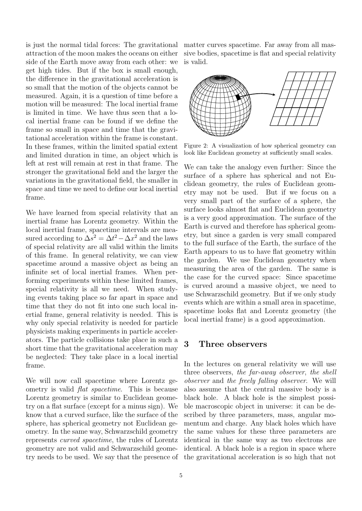attraction of the moon makes the oceans on either side of the Earth move away from each other: we get high tides. But if the box is small enough, the difference in the gravitational acceleration is so small that the motion of the objects cannot be measured. Again, it is a question of time before a motion will be measured: The local inertial frame is limited in time. We have thus seen that a local inertial frame can be found if we define the frame so small in space and time that the gravitational acceleration within the frame is constant. In these frames, within the limited spatial extent and limited duration in time, an object which is left at rest will remain at rest in that frame. The stronger the gravitational field and the larger the variations in the gravitational field, the smaller in space and time we need to define our local inertial frame.

We have learned from special relativity that an inertial frame has Lorentz geometry. Within the local inertial frame, spacetime intervals are measured according to  $\Delta s^2 = \Delta t^2 - \Delta x^2$  and the laws of special relativity are all valid within the limits of this frame. In general relativity, we can view spacetime around a massive object as being an infinite set of local inertial frames. When performing experiments within these limited frames, special relativity is all we need. When studying events taking place so far apart in space and time that they do not fit into one such local inertial frame, general relativity is needed. This is why only special relativity is needed for particle physicists making experiments in particle accelerators. The particle collisions take place in such a short time that the gravitational acceleration may be neglected: They take place in a local inertial frame.

We will now call spacetime where Lorentz geometry is valid flat spacetime. This is because Lorentz geometry is similar to Euclidean geometry on a flat surface (except for a minus sign). We know that a curved surface, like the surface of the sphere, has spherical geometry not Euclidean geometry. In the same way, Schwarzschild geometry represents curved spacetime, the rules of Lorentz geometry are not valid and Schwarzschild geometry needs to be used. We say that the presence of the gravitational acceleration is so high that not

is just the normal tidal forces: The gravitational matter curves spacetime. Far away from all massive bodies, spacetime is flat and special relativity is valid.



Figure 2: A visualization of how spherical geometry can look like Euclidean geometry at sufficiently small scales.

We can take the analogy even further: Since the surface of a sphere has spherical and not Euclidean geometry, the rules of Euclidean geometry may not be used. But if we focus on a very small part of the surface of a sphere, the surface looks almost flat and Euclidean geometry is a very good approximation. The surface of the Earth is curved and therefore has spherical geometry, but since a garden is very small compared to the full surface of the Earth, the surface of the Earth appears to us to have flat geometry within the garden. We use Euclidean geometry when measuring the area of the garden. The same is the case for the curved space: Since spacetime is curved around a massive object, we need to use Schwarzschild geometry. But if we only study events which are within a small area in spacetime, spacetime looks flat and Lorentz geometry (the local inertial frame) is a good approximation.

## 3 Three observers

In the lectures on general relativity we will use three observers, the far-away observer, the shell observer and the freely falling observer. We will also assume that the central massive body is a black hole. A black hole is the simplest possible macroscopic object in universe: it can be described by three parameters, mass, angular momentum and charge. Any black holes which have the same values for these three parameters are identical in the same way as two electrons are identical. A black hole is a region in space where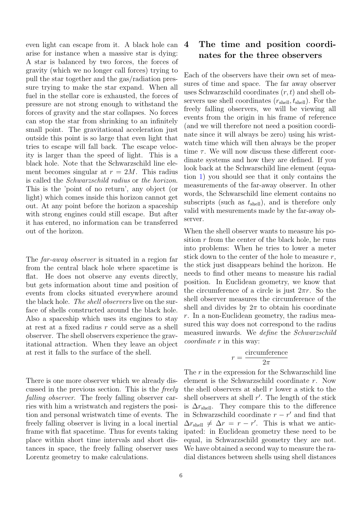even light can escape from it. A black hole can arise for instance when a massive star is dying: A star is balanced by two forces, the forces of gravity (which we no longer call forces) trying to pull the star together and the gas/radiation pressure trying to make the star expand. When all fuel in the stellar core is exhausted, the forces of pressure are not strong enough to withstand the forces of gravity and the star collapses. No forces can stop the star from shrinking to an infinitely small point. The gravitational acceleration just outside this point is so large that even light that tries to escape will fall back. The escape velocity is larger than the speed of light. This is a black hole. Note that the Schwarzschild line element becomes singular at  $r = 2M$ . This radius is called the Schwarzschild radius or the horizon. This is the 'point of no return', any object (or light) which comes inside this horizon cannot get out. At any point before the horizon a spaceship with strong engines could still escape. But after it has entered, no information can be transferred out of the horizon.

The far-away observer is situated in a region far from the central black hole where spacetime is flat. He does not observe any events directly, but gets information about time and position of events from clocks situated everywhere around the black hole. The shell observers live on the surface of shells constructed around the black hole. Also a spaceship which uses its engines to stay at rest at a fixed radius r could serve as a shell observer. The shell observers experience the gravitational attraction. When they leave an object at rest it falls to the surface of the shell.

There is one more observer which we already discussed in the previous section. This is the freely falling observer. The freely falling observer carries with him a wristwatch and registers the position and personal wristwatch time of events. The freely falling observer is living in a local inertial frame with flat spacetime. Thus for events taking place within short time intervals and short distances in space, the freely falling observer uses Lorentz geometry to make calculations.

## <span id="page-5-0"></span>4 The time and position coordinates for the three observers

Each of the observers have their own set of measures of time and space. The far away observer uses Schwarzschild coordinates  $(r, t)$  and shell observers use shell coordinates  $(r_{shell}, t_{shell})$ . For the freely falling observers, we will be viewing all events from the origin in his frame of reference (and we will therefore not need a position coordinate since it will always be zero) using his wristwatch time which will then always be the proper time  $\tau$ . We will now discuss these different coordinate systems and how they are defined. If you look back at the Schwarschild line element (equation [1\)](#page-2-1) you should see that it only contains the measurements of the far-away observer. In other words, the Schwarschild line element contains no subscripts (such as  $t_{shell}$ ), and is therefore only valid with mesurements made by the far-away observer.

When the shell observer wants to measure his position  $r$  from the center of the black hole, he runs into problems: When he tries to lower a meter stick down to the center of the hole to measure  $r$ , the stick just disappears behind the horizon. He needs to find other means to measure his radial position. In Euclidean geometry, we know that the circumference of a circle is just  $2\pi r$ . So the shell observer measures the circumference of the shell and divides by  $2\pi$  to obtain his coordinate r. In a non-Euclidean geometry, the radius measured this way does not correspond to the radius measured inwards. We define the Schwarzschild coordinate r in this way:

$$
r = \frac{\text{circumference}}{2\pi}
$$

The r in the expression for the Schwarzschild line element is the Schwarzschild coordinate r. Now the shell observers at shell  $r$  lower a stick to the shell observers at shell  $r'$ . The length of the stick is  $\Delta r_{shell}$ . They compare this to the difference in Schwarzschild coordinate  $r - r'$  and find that  $\Delta r_{\text{shell}} \neq \Delta r = r - r'$ . This is what we anticipated: in Euclidean geometry these need to be equal, in Schwarzschild geometry they are not. We have obtained a second way to measure the radial distances between shells using shell distances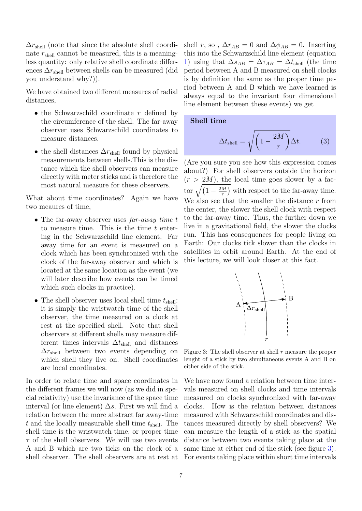$\Delta r_{\text{shell}}$  (note that since the absolute shell coordinate  $r_{shell}$  cannot be measured, this is a meaningless quantity: only relative shell coordinate differences  $\Delta r_{shell}$  between shells can be measured (did you understand why?)).

We have obtained two different measures of radial distances,

- the Schwarzschild coordinate  $r$  defined by the circumference of the shell. The far-away observer uses Schwarzschild coordinates to measure distances.
- the shell distances  $\Delta r_{\text{shell}}$  found by physical measurements between shells.This is the distance which the shell observers can measure directly with meter sticks and is therefore the most natural measure for these observers.

What about time coordinates? Again we have two meaures of time,

- The far-away observer uses far-away time t to measure time. This is the time  $t$  entering in the Schwarzschild line element. Far away time for an event is measured on a clock which has been synchronized with the clock of the far-away observer and which is located at the same location as the event (we will later describe how events can be timed which such clocks in practice).
- The shell observer uses local shell time  $t_{\text{shell}}$ : it is simply the wristwatch time of the shell observer, the time measured on a clock at rest at the specified shell. Note that shell observers at different shells may measure different times intervals  $\Delta t_{shell}$  and distances  $\Delta r_{\text{shell}}$  between two events depending on which shell they live on. Shell coordinates are local coordinates.

In order to relate time and space coordinates in the different frames we will now (as we did in special relativity) use the invariance of the space time interval (or line element)  $\Delta s$ . First we will find a relation between the more abstract far away-time  $t$  and the locally measurable shell time  $t_{shell}$ . The shell time is the wristwatch time, or proper time  $\tau$  of the shell observers. We will use two events A and B which are two ticks on the clock of a shell observer. The shell observers are at rest at shell r, so,  $\Delta r_{AB} = 0$  and  $\Delta \phi_{AB} = 0$ . Inserting this into the Schwarzschild line element (equation [1\)](#page-2-1) using that  $\Delta s_{AB} = \Delta \tau_{AB} = \Delta t_{shell}$  (the time period between A and B measured on shell clocks is by definition the same as the proper time period between A and B which we have learned is always equal to the invariant four dimensional line element between these events) we get

Shell time

<span id="page-6-1"></span>
$$
\Delta t_{\text{shell}} = \sqrt{\left(1 - \frac{2M}{r}\right)} \Delta t. \tag{3}
$$

(Are you sure you see how this expression comes about?) For shell observers outside the horizon  $(r > 2M)$ , the local time goes slower by a factor  $\sqrt{(1-\frac{2M}{r})}$  $\frac{M}{r}$ ) with respect to the far-away time. We also see that the smaller the distance  $r$  from the center, the slower the shell clock with respect to the far-away time. Thus, the further down we live in a gravitational field, the slower the clocks run. This has consequences for people living on Earth: Our clocks tick slower than the clocks in satellites in orbit around Earth. At the end of this lecture, we will look closer at this fact.



<span id="page-6-0"></span>Figure 3: The shell observer at shell  $r$  measure the proper lenght of a stick by two simultaneous events A and B on either side of the stick.

We have now found a relation between time intervals measured on shell clocks and time intervals measured on clocks synchronized with far-away clocks. How is the relation between distances measured with Schwarzschild coordinates and distances measured directly by shell observers? We can measure the length of a stick as the spatial distance between two events taking place at the same time at either end of the stick (see figure [3\)](#page-6-0). For events taking place within short time intervals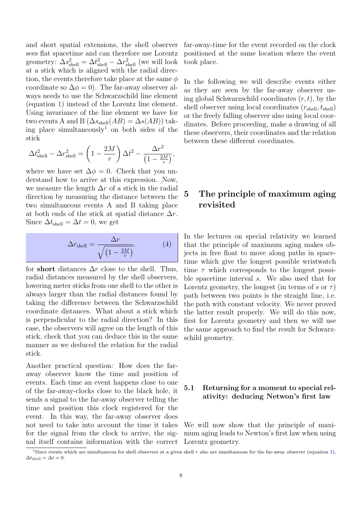and short spatial extensions, the shell observer sees flat spacetime and can therefore use Lorentz geometry:  $\Delta s_{\text{shell}}^2 = \Delta t_{\text{shell}}^2 - \Delta r_{\text{shell}}^2$  (we will look at a stick which is aligned with the radial direction, the events therefore take place at the same  $\phi$ coordinate so  $\Delta \phi = 0$ ). The far-away observer always needs to use the Schwarzschild line element (equation [1\)](#page-2-1) instead of the Lorentz line element. Using invariance of the line element we have for two events A and B  $(\Delta s_{\text{shell}}(AB) = \Delta s(AB))$  tak-ing place simultaneously<sup>[1](#page-7-0)</sup> on both sides of the stick

$$
\Delta t_{\text{shell}}^2 - \Delta r_{\text{shell}}^2 = \left(1 - \frac{2M}{r}\right) \Delta t^2 - \frac{\Delta r^2}{\left(1 - \frac{2M}{r}\right)},
$$

where we have set  $\Delta \phi = 0$ . Check that you understand how to arrive at this expression. Now, we measure the length  $\Delta r$  of a stick in the radial direction by measuring the distance between the two simultaneous events A and B taking place at both ends of the stick at spatial distance  $\Delta r$ . Since  $\Delta t_{\text{shell}} = \Delta t = 0$ , we get

<span id="page-7-1"></span>
$$
\Delta r_{\text{shell}} = \frac{\Delta r}{\sqrt{\left(1 - \frac{2M}{r}\right)}}.\tag{4}
$$

for short distances  $\Delta r$  close to the shell. Thus, radial distances measured by the shell observers, lowering meter sticks from one shell to the other is always larger than the radial distances found by taking the difference between the Schwarzschild coordinate distances. What about a stick which is perpendicular to the radial direction? In this case, the observers will agree on the length of this stick, check that you can deduce this in the same manner as we deduced the relation for the radial stick.

Another practical question: How does the faraway observer know the time and position of events. Each time an event happens close to one of the far-away-clocks close to the black hole, it sends a signal to the far-away observer telling the time and position this clock registered for the event. In this way, the far-away observer does not need to take into account the time it takes for the signal from the clock to arrive, the signal itself contains information with the correct far-away-time for the event recorded on the clock positioned at the same location where the event took place.

In the following we will describe events either as they are seen by the far-away observer using global Schwarzschild coordinates  $(r, t)$ , by the shell observer using local coordinates  $(r_{\text{shell}}, t_{\text{shell}})$ or the freely falling observer also using local coordinates. Before proceeding, make a drawing of all these observers, their coordinates and the relation between these different coordinates.

## <span id="page-7-2"></span>5 The principle of maximum aging revisited

In the lectures on special relativity we learned that the principle of maximum aging makes objects in free float to move along paths in spacetime which give the longest possible wristwatch time  $\tau$  which corresponds to the longest possible spacetime interval s. We also used that for Lorentz geometry, the longest (in terms of s or  $\tau$ ) path between two points is the straight line, i.e. the path with constant velocity. We never proved the latter result properly. We will do this now, first for Lorentz geometry and then we will use the same approach to find the result for Schwarzschild geometry.

### 5.1 Returning for a moment to special relativity: deducing Netwon's first law

We will now show that the principle of maximum aging leads to Newton's first law when using Lorentz geometry.

<span id="page-7-0"></span><sup>&</sup>lt;sup>1</sup>Since events which are simultaneous for shell observers at a given shell r also are simultaneous for the far-away observer (equation [3\)](#page-6-1),  $\Delta t_{\text{shell}} = \Delta t = 0.$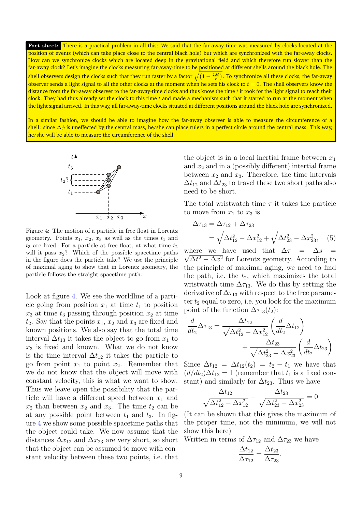Fact sheet: There is a practical problem in all this: We said that the far-away time was measured by clocks located at the position of events (which can take place close to the central black hole) but which are synchronized with the far-away clocks. How can we synchronize clocks which are located deep in the gravitational field and which therefore run slower than the far-away clock? Let's imagine the clocks measuring far-away-time to be positioned at different shells around the black hole. The shell observers design the clocks such that they run faster by a factor  $\sqrt{(1-\frac{2M}{r})}.$  To synchronize all these clocks, the far-away observer sends a light signal to all the other clocks at the moment when he sets his clock to  $t = 0$ . The shell observers know the distance from the far-away observer to the far-away-time clocks and thus know the time  $t$  it took for the light signal to reach their clock. They had thus already set the clock to this time  $t$  and made a mechanism such that it started to run at the moment when the light signal arrived. In this way, all far-away-time clocks situated at different positions around the black hole are synchronized.

In a similar fashion, we should be able to imagine how the far-away observer is able to measure the circumference of a shell: since  $\Delta\phi$  is uneffected by the central mass, he/she can place rulers in a perfect circle around the central mass. This way, he/she will be able to measure the circumference of the shell.



<span id="page-8-0"></span>Figure 4: The motion of a particle in free float in Lorentz geometry. Points  $x_1, x_2, x_3$  as well as the times  $t_1$  and  $t_3$  are fixed. For a particle at free float, at what time  $t_2$ will it pass  $x_2$ ? Which of the possible spacetime paths in the figure does the particle take? We use the principle of maximal aging to show that in Lorentz geometry, the particle follows the straight spacetime path.

Look at figure [4.](#page-8-0) We see the worldline of a particle going from position  $x_1$  at time  $t_1$  to position  $x_3$  at time  $t_3$  passing through position  $x_2$  at time  $t_2$ . Say that the points  $x_1, x_2$  and  $x_3$  are fixed and known positions. We also say that the total time interval  $\Delta t_{13}$  it takes the object to go from  $x_1$  to  $x_3$  is fixed and known. What we do not know is the time interval  $\Delta t_{12}$  it takes the particle to go from point  $x_1$  to point  $x_2$ . Remember that we do not know that the object will move with constant velocity, this is what we want to show. Thus we leave open the possibility that the particle will have a different speed between  $x_1$  and  $x_2$  than between  $x_2$  and  $x_3$ . The time  $t_2$  can be at any possible point between  $t_1$  and  $t_3$ . In figure [4](#page-8-0) we show some possible spacetime paths that the object could take. We now assume that the distances  $\Delta x_{12}$  and  $\Delta x_{23}$  are very short, so short that the object can be assumed to move with constant velocity between these two points, i.e. that the object is in a local inertial frame between  $x_1$ and  $x_2$  and in a (possibly different) intertial frame between  $x_2$  and  $x_3$ . Therefore, the time intervals  $\Delta t_{12}$  and  $\Delta t_{23}$  to travel these two short paths also need to be short.

The total wristwatch time  $\tau$  it takes the particle to move from  $x_1$  to  $x_3$  is

<span id="page-8-1"></span>
$$
\Delta \tau_{13} = \Delta \tau_{12} + \Delta \tau_{23}
$$
  
=  $\sqrt{\Delta t_{12}^2 - \Delta x_{12}^2} + \sqrt{\Delta t_{23}^2 - \Delta x_{23}^2},$  (5)

where we have used that  $\Delta \tau = \Delta s =$  $\Delta t^2 - \Delta x^2$  for Lorentz geometry. According to the principle of maximal aging, we need to find the path, i.e. the  $t_2$ , which maximizes the total wristwatch time  $\Delta \tau_{13}$ . We do this by setting the derivative of  $\Delta \tau_{13}$  with respect to the free parameter  $t_2$  equal to zero, i.e. you look for the maximum point of the function  $\Delta \tau_{13}(t_2)$ :

$$
\frac{d}{dt_2} \Delta \tau_{13} = \frac{\Delta t_{12}}{\sqrt{\Delta t_{12}^2 - \Delta x_{12}^2}} \left( \frac{d}{dt_2} \Delta t_{12} \right) + \frac{\Delta t_{23}}{\sqrt{\Delta t_{23}^2 - \Delta x_{23}^2}} \left( \frac{d}{dt_2} \Delta t_{23} \right)
$$

Since  $\Delta t_{12} = \Delta t_{12}(t_2) = t_2 - t_1$  we have that  $(d/dt_2)\Delta t_{12} = 1$  (remember that  $t_1$  is a fixed constant) and similarly for  $\Delta t_{23}$ . Thus we have

$$
\frac{\Delta t_{12}}{\sqrt{\Delta t_{12}^2 - \Delta x_{12}^2}} - \frac{\Delta t_{23}}{\sqrt{\Delta t_{23}^2 - \Delta x_{23}^2}} = 0
$$

(It can be shown that this gives the maximum of the proper time, not the minimum, we will not show this here)

Written in terms of  $\Delta \tau_{12}$  and  $\Delta \tau_{23}$  we have

$$
\frac{\Delta t_{12}}{\Delta \tau_{12}} = \frac{\Delta t_{23}}{\Delta \tau_{23}}.
$$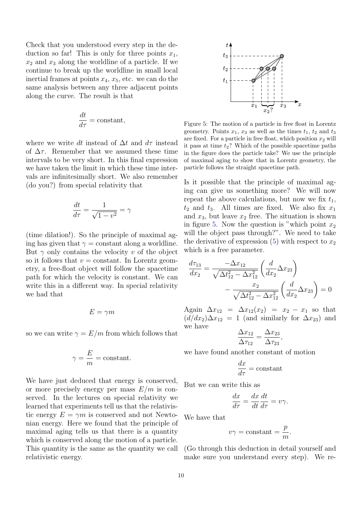Check that you understood every step in the deduction so far! This is only for three points  $x_1$ ,  $x_2$  and  $x_3$  along the worldline of a particle. If we continue to break up the worldline in small local inertial frames at points  $x_4, x_5$ , etc. we can do the same analysis between any three adjacent points along the curve. The result is that

$$
\frac{dt}{d\tau} = \text{constant},
$$

where we write dt instead of  $\Delta t$  and  $d\tau$  instead of  $\Delta \tau$ . Remember that we assumed these time intervals to be very short. In this final expression we have taken the limit in which these time intervals are infinitesimally short. We also remember (do you?) from special relativity that

$$
\frac{dt}{d\tau} = \frac{1}{\sqrt{1 - v^2}} = \gamma
$$

(time dilation!). So the principle of maximal aging has given that  $\gamma = constant$  along a worldline. But  $\gamma$  only contains the velocity v of the object so it follows that  $v = constant$ . In Lorentz geometry, a free-float object will follow the spacetime path for which the velocity is constant. We can write this in a different way. In special relativity we had that

$$
E=\gamma m
$$

so we can write  $\gamma = E/m$  from which follows that

$$
\gamma = \frac{E}{m} = \mathrm{constant}.
$$

We have just deduced that energy is conserved, or more precisely energy per mass  $E/m$  is conserved. In the lectures on special relativity we learned that experiments tell us that the relativistic energy  $E = \gamma m$  is conserved and not Newtonian energy. Here we found that the principle of maximal aging tells us that there is a quantity which is conserved along the motion of a particle. This quantity is the same as the quantity we call relativistic energy.



<span id="page-9-0"></span>Figure 5: The motion of a particle in free float in Lorentz geometry. Points  $x_1, x_3$  as well as the times  $t_1, t_2$  and  $t_3$ are fixed. For a particle in free float, which position  $x_2$  will it pass at time  $t_2$ ? Which of the possible spacetime paths in the figure does the particle take? We use the principle of maximal aging to show that in Lorentz geometry, the particle follows the straight spacetime path.

Is it possible that the principle of maximal aging can give us something more? We will now repeat the above calculations, but now we fix  $t_1$ ,  $t_2$  and  $t_3$ . All times are fixed. We also fix  $x_1$ and  $x_3$ , but leave  $x_2$  free. The situation is shown in figure [5.](#page-9-0) Now the question is "which point  $x_2$ " will the object pass through?". We need to take the derivative of expression  $(5)$  with respect to  $x_2$ which is a free parameter.

$$
\frac{d\tau_{13}}{dx_2} = \frac{-\Delta x_{12}}{\sqrt{\Delta t_{12}^2 - \Delta x_{12}^2}} \left(\frac{d}{dx_2} \Delta x_{23}\right) \n- \frac{x_2}{\sqrt{\Delta t_{12}^2 - \Delta x_{12}^2}} \left(\frac{d}{dx_2} \Delta x_{23}\right) = 0
$$

Again  $\Delta x_{12} = \Delta x_{12}(x_2) = x_2 - x_1$  so that  $(d/dx_2)\Delta x_{12} = 1$  (and similarly for  $\Delta x_{23}$ ) and we have

$$
\frac{\Delta x_{12}}{\Delta \tau_{12}} = \frac{\Delta x_{23}}{\Delta \tau_{23}},
$$

we have found another constant of motion

$$
\frac{dx}{d\tau} = \text{constant}
$$

But we can write this as

$$
\frac{dx}{d\tau} = \frac{dx}{dt}\frac{dt}{d\tau} = v\gamma.
$$

We have that

$$
v\gamma = \text{constant} = \frac{p}{m}.
$$

(Go through this deduction in detail yourself and make sure you understand every step). We re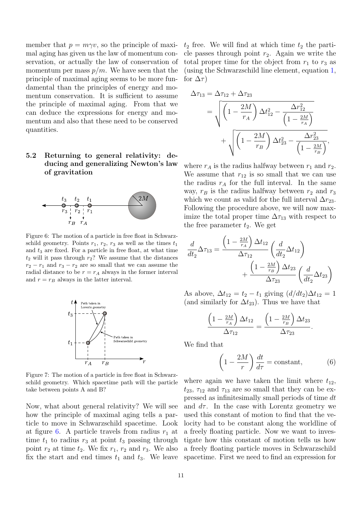member that  $p = m\gamma v$ , so the principle of maximal aging has given us the law of momentum conservation, or actually the law of conservation of momentum per mass  $p/m$ . We have seen that the principle of maximal aging seems to be more fundamental than the principles of energy and momentum conservation. It is sufficient to assume the principle of maximal aging. From that we can deduce the expressions for energy and momentum and also that these need to be conserved quantities.

## 5.2 Returning to general relativity: deducing and generalizing Newton's law of gravitation



<span id="page-10-0"></span>Figure 6: The motion of a particle in free float in Schwarzschild geometry. Points  $r_1$ ,  $r_2$ ,  $r_3$  as well as the times  $t_1$ and  $t_3$  are fixed. For a particle in free float, at what time  $t_2$  will it pass through  $r_2$ ? We assume that the distances  $r_2 - r_1$  and  $r_3 - r_2$  are so small that we can assume the radial distance to be  $r = r_A$  always in the former interval and  $r = r_B$  always in the latter interval.



<span id="page-10-2"></span>Figure 7: The motion of a particle in free float in Schwarzschild geometry. Which spacetime path will the particle take between points A and B?

Now, what about general relativity? We will see how the principle of maximal aging tells a particle to move in Schwarzschild spacetime. Look at figure [6.](#page-10-0) A particle travels from radius  $r_1$  at time  $t_1$  to radius  $r_3$  at point  $t_3$  passing through point  $r_2$  at time  $t_2$ . We fix  $r_1$ ,  $r_2$  and  $r_3$ . We also fix the start and end times  $t_1$  and  $t_3$ . We leave  $t_2$  free. We will find at which time  $t_2$  the particle passes through point  $r_2$ . Again we write the total proper time for the object from  $r_1$  to  $r_3$  as (using the Schwarzschild line element, equation [1,](#page-2-1) for  $\Delta \tau$ )

$$
\Delta \tau_{13} = \Delta \tau_{12} + \Delta \tau_{23}
$$
\n
$$
= \sqrt{\left(1 - \frac{2M}{r_A}\right) \Delta t_{12}^2 - \frac{\Delta r_{12}^2}{\left(1 - \frac{2M}{r_A}\right)}}
$$
\n
$$
+ \sqrt{\left(1 - \frac{2M}{r_B}\right) \Delta t_{23}^2 - \frac{\Delta r_{23}^2}{\left(1 - \frac{2M}{r_B}\right)}},
$$

where  $r_A$  is the radius halfway between  $r_1$  and  $r_2$ . We assume that  $r_{12}$  is so small that we can use the radius  $r_A$  for the full interval. In the same way,  $r_B$  is the radius halfway between  $r_2$  and  $r_3$ which we count as valid for the full interval  $\Delta r_{23}$ . Following the procedure above, we will now maximize the total proper time  $\Delta \tau_{13}$  with respect to the free parameter  $t_2$ . We get

$$
\frac{d}{dt_2}\Delta\tau_{13} = \frac{\left(1 - \frac{2M}{r_A}\right)\Delta t_{12}}{\Delta\tau_{12}} \left(\frac{d}{dt_2}\Delta t_{12}\right) + \frac{\left(1 - \frac{2M}{r_B}\right)\Delta t_{23}}{\Delta\tau_{23}} \left(\frac{d}{dt_2}\Delta t_{23}\right)
$$

As above,  $\Delta t_{12} = t_2 - t_1$  giving  $(d/dt_2)\Delta t_{12} = 1$ (and similarly for  $\Delta t_{23}$ ). Thus we have that

$$
\frac{\left(1-\frac{2M}{r_A}\right)\Delta t_{12}}{\Delta \tau_{12}} = \frac{\left(1-\frac{2M}{r_B}\right)\Delta t_{23}}{\Delta \tau_{23}}.
$$

We find that

<span id="page-10-1"></span>
$$
\left(1 - \frac{2M}{r}\right)\frac{dt}{d\tau} = \text{constant},\tag{6}
$$

where again we have taken the limit where  $t_{12}$ ,  $t_{23}$ ,  $\tau_{12}$  and  $\tau_{13}$  are so small that they can be expressed as infinitesimally small periods of time dt and  $d\tau$ . In the case with Lorentz geometry we used this constant of motion to find that the velocity had to be constant along the worldline of a freely floating particle. Now we want to investigate how this constant of motion tells us how a freely floating particle moves in Schwarzschild spacetime. First we need to find an expression for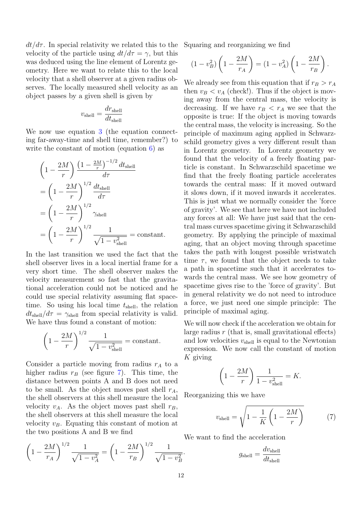$dt/d\tau$ . In special relativity we related this to the velocity of the particle using  $dt/d\tau = \gamma$ , but this was deduced using the line element of Lorentz geometry. Here we want to relate this to the local velocity that a shell observer at a given radius observes. The locally measured shell velocity as an object passes by a given shell is given by

$$
v_{\rm shell} = \frac{dr_{\rm shell}}{dt_{\rm shell}}
$$

We now use equation [3](#page-6-1) (the equation connecting far-away-time and shell time, remember?) to write the constant of motion (equation [6\)](#page-10-1) as

$$
\left(1 - \frac{2M}{r}\right) \frac{\left(1 - \frac{2M}{r}\right)^{-1/2} dt_{\text{shell}}}{d\tau}
$$

$$
= \left(1 - \frac{2M}{r}\right)^{1/2} \frac{dt_{\text{shell}}}{d\tau}
$$

$$
= \left(1 - \frac{2M}{r}\right)^{1/2} \gamma_{\text{shell}}
$$

$$
= \left(1 - \frac{2M}{r}\right)^{1/2} \frac{1}{\sqrt{1 - v_{\text{shell}}^2}} = \text{constant.}
$$

In the last transition we used the fact that the shell observer lives in a local inertial frame for a very short time. The shell observer makes the velocity measurement so fast that the gravitational acceleration could not be noticed and he could use special relativity assuming flat spacetime. So using his local time  $t_{shell}$ , the relation  $dt_{\text{shell}}/d\tau = \gamma_{\text{shell}}$  from special relativity is valid. We have thus found a constant of motion:

$$
\left(1 - \frac{2M}{r}\right)^{1/2} \frac{1}{\sqrt{1 - v_{\text{shell}}^2}} = \text{constant}.
$$

Consider a particle moving from radius  $r_A$  to a higher radius  $r_B$  (see figure [7\)](#page-10-2). This time, the distance between points A and B does not need to be small. As the object moves past shell  $r_A$ , the shell observers at this shell measure the local velocity  $v_A$ . As the object moves past shell  $r_B$ , the shell observers at this shell measure the local velocity  $v_B$ . Equating this constant of motion at the two positions A and B we find

$$
\left(1 - \frac{2M}{r_A}\right)^{1/2} \frac{1}{\sqrt{1 - v_A^2}} = \left(1 - \frac{2M}{r_B}\right)^{1/2} \frac{1}{\sqrt{1 - v_B^2}}.
$$

Squaring and reorganizing we find

$$
(1 - v_B^2) \left( 1 - \frac{2M}{r_A} \right) = (1 - v_A^2) \left( 1 - \frac{2M}{r_B} \right).
$$

We already see from this equation that if  $r_B > r_A$ then  $v_B < v_A$  (check!). Thus if the object is moving away from the central mass, the velocity is decreasing. If we have  $r_B < r_A$  we see that the opposite is true: If the object is moving towards the central mass, the velocity is increasing. So the principle of maximum aging applied in Schwarzschild geometry gives a very different result than in Lorentz geometry. In Lorentz geometry we found that the velocity of a freely floating particle is constant. In Schwarzschild spacetime we find that the freely floating particle accelerates towards the central mass: If it moved outward it slows down, if it moved inwards it accelerates. This is just what we normally consider the 'force of gravity'. We see that here we have not included any forces at all: We have just said that the central mass curves spacetime giving it Schwarzschild geometry. By applying the principle of maximal aging, that an object moving through spacetime takes the path with longest possible wristwatch time  $\tau$ , we found that the object needs to take a path in spacetime such that it accelerates towards the central mass. We see how geometry of spacetime gives rise to the 'force of gravity'. But in general relativity we do not need to introduce a force, we just need one simple principle: The principle of maximal aging.

We will now check if the acceleration we obtain for large radius  $r$  (that is, small gravitational effects) and low velocities  $v_{shell}$  is equal to the Newtonian expression. We now call the constant of motion  $K$  giving

$$
\left(1 - \frac{2M}{r}\right) \frac{1}{1 - v_{\text{shell}}^2} = K.
$$

Reorganizing this we have

<span id="page-11-0"></span>
$$
v_{\text{shell}} = \sqrt{1 - \frac{1}{K} \left(1 - \frac{2M}{r}\right)}\tag{7}
$$

We want to find the acceleration

$$
g_{\text{shell}} = \frac{dv_{\text{shell}}}{dt_{\text{shell}}}
$$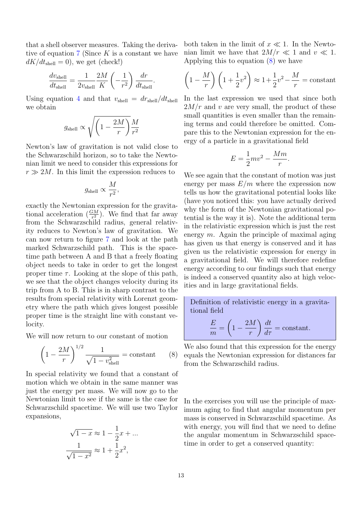that a shell observer measures. Taking the derivative of equation  $7$  (Since K is a constant we have  $dK/dt_{\text{shell}} = 0$ , we get (check!)

$$
\frac{dv_{\rm shell}}{dt_{\rm shell}} = \frac{1}{2v_{\rm shell}} \frac{2M}{K} \left( -\frac{1}{r^2} \right) \frac{dr}{dt_{\rm shell}}.
$$

Using equation [4](#page-7-1) and that  $v_{shell} = dr_{shell}/dt_{shell}$ we obtain

$$
g_{\rm shell} \propto \sqrt{\left(1-\frac{2M}{r}\right)} \frac{M}{r^2}
$$

Newton's law of gravitation is not valid close to the Schwarzschild horizon, so to take the Newtonian limit we need to consider this expressions for  $r \gg 2M$ . In this limit the expression reduces to

$$
g_{\rm shell} \propto \frac{M}{r^2},
$$

exactly the Newtonian expression for the gravitational acceleration  $(\frac{GM}{r^2})$ . We find that far away from the Schwarzschild radius, general relativity reduces to Newton's law of gravitation. We can now return to figure [7](#page-10-2) and look at the path marked Schwarzschild path. This is the spacetime path between A and B that a freely floating object needs to take in order to get the longest proper time  $\tau$ . Looking at the slope of this path, we see that the object changes velocity during its trip from A to B. This is in sharp contrast to the results from special relativity with Lorenzt geometry where the path which gives longest possible proper time is the straight line with constant velocity.

We will now return to our constant of motion

<span id="page-12-0"></span>
$$
\left(1 - \frac{2M}{r}\right)^{1/2} \frac{1}{\sqrt{1 - v_{\text{shell}}^2}} = \text{constant} \qquad (8)
$$

In special relativity we found that a constant of motion which we obtain in the same manner was just the energy per mass. We will now go to the Newtonian limit to see if the same is the case for Schwarzschild spacetime. We will use two Taylor expansions,

$$
\sqrt{1-x} \approx 1 - \frac{1}{2}x + \dots
$$

$$
\frac{1}{\sqrt{1-x^2}} \approx 1 + \frac{1}{2}x^2,
$$

both taken in the limit of  $x \ll 1$ . In the Newtonian limit we have that  $2M/r \ll 1$  and  $v \ll 1$ . Applying this to equation [\(8\)](#page-12-0) we have

$$
\left(1 - \frac{M}{r}\right)\left(1 + \frac{1}{2}v^2\right) \approx 1 + \frac{1}{2}v^2 - \frac{M}{r} = \text{constant}
$$

In the last expression we used that since both  $2M/r$  and v are very small, the product of these small quantities is even smaller than the remaining terms and could therefore be omitted. Compare this to the Newtonian expression for the energy of a particle in a gravitational field

$$
E = \frac{1}{2}mv^2 - \frac{Mm}{r}.
$$

We see again that the constant of motion was just energy per mass  $E/m$  where the expression now tells us how the gravitational potential looks like (have you noticed this: you have actually derived why the form of the Newtonian gravitational potential is the way it is). Note the additional term in the relativistic expression which is just the rest energy  $m$ . Again the principle of maximal aging has given us that energy is conserved and it has given us the relativistic expression for energy in a gravitational field. We will therefore redefine energy according to our findings such that energy is indeed a conserved quantity also at high velocities and in large gravitational fields.

Definition of relativistic energy in a gravitational field

$$
\frac{E}{m} = \left(1 - \frac{2M}{r}\right)\frac{dt}{d\tau} = \text{constant}.
$$

We also found that this expression for the energy equals the Newtonian expression for distances far from the Schwarzschild radius.

In the exercises you will use the principle of maximum aging to find that angular momentum per mass is conserved in Schwarzschild spacetime. As with energy, you will find that we need to define the angular momentum in Schwarzschild spacetime in order to get a conserved quantity: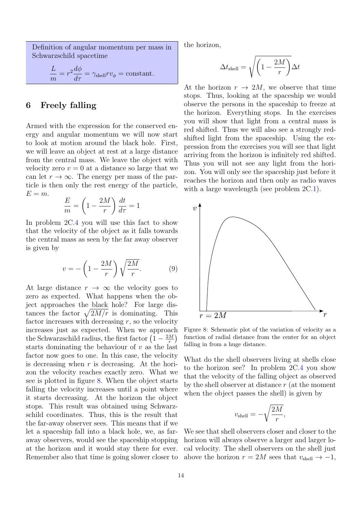Definition of angular momentum per mass in Schwarzschild spacetime

$$
\frac{L}{m} = r^2 \frac{d\phi}{d\tau} = \gamma_{\text{shell}} r v_{\phi} = \text{constant}.
$$

## <span id="page-13-1"></span>6 Freely falling

Armed with the expression for the conserved energy and angular momentum we will now start to look at motion around the black hole. First, we will leave an object at rest at a large distance from the central mass. We leave the object with velocity zero  $v = 0$  at a distance so large that we can let  $r \to \infty$ . The energy per mass of the particle is then only the rest energy of the particle,  $E = m$ .

$$
\frac{E}{m} = \left(1 - \frac{2M}{r}\right)\frac{dt}{d\tau} = 1
$$

In problem 2C[.4](#page-21-0) you will use this fact to show that the velocity of the object as it falls towards the central mass as seen by the far away observer is given by

$$
v = -\left(1 - \frac{2M}{r}\right)\sqrt{\frac{2M}{r}}.\tag{9}
$$

At large distance  $r \to \infty$  the velocity goes to zero as expected. What happens when the object approaches the black hole? For large distances the factor  $\sqrt{2M/r}$  is dominating. This factor increases with decreasing  $r$ , so the velocity increases just as expected. When we approach the Schwarzschild radius, the first factor  $\left(1-\frac{2M}{r}\right)$  $\frac{M}{r}\Big)$ starts dominating the behaviour of  $v$  as the last factor now goes to one. In this case, the velocity is decreasing when  $r$  is decreasing. At the horizon the velocity reaches exactly zero. What we see is plotted in figure [8.](#page-13-0) When the object starts falling the velocity increases until a point where it starts decreasing. At the horizon the object stops. This result was obtained using Schwarzschild coordinates. Thus, this is the result that the far-away observer sees. This means that if we let a spaceship fall into a black hole, we, as faraway observers, would see the spaceship stopping at the horizon and it would stay there for ever. Remember also that time is going slower closer to

the horizon,

$$
\Delta t_{\rm shell} = \sqrt{\left(1 - \frac{2M}{r}\right)} \Delta t
$$

At the horizon  $r \to 2M$ , we observe that time stops. Thus, looking at the spaceship we would observe the persons in the spaceship to freeze at the horizon. Everything stops. In the exercises you will show that light from a central mass is red shifted. Thus we will also see a strongly redshifted light from the spaceship. Using the expression from the exercises you will see that light arriving from the horizon is infinitely red shifted. Thus you will not see any light from the horizon. You will only see the spaceship just before it reaches the horizon and then only as radio waves with a large wavelength (see problem  $2C.1$ ).



<span id="page-13-0"></span>Figure 8: Schematic plot of the variation of velocity as a function of radial distance from the center for an object falling in from a huge distance.

What do the shell observers living at shells close to the horizon see? In problem 2C[.4](#page-21-0) you show that the velocity of the falling object as observed by the shell observer at distance  $r$  (at the moment when the object passes the shell) is given by

$$
v_{\rm shell} = -\sqrt{\frac{2M}{r}},
$$

We see that shell observers closer and closer to the horizon will always observe a larger and larger local velocity. The shell observers on the shell just above the horizon  $r = 2M$  sees that  $v_{\text{shell}} \rightarrow -1$ ,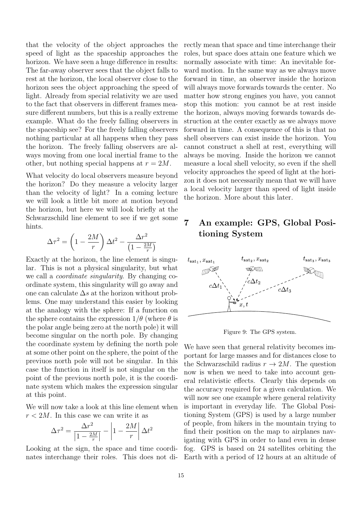that the velocity of the object approaches the speed of light as the spaceship approaches the horizon. We have seen a huge difference in results: The far-away observer sees that the object falls to rest at the horizon, the local observer close to the horizon sees the object approaching the speed of light. Already from special relativity we are used to the fact that observers in different frames measure different numbers, but this is a really extreme example. What do the freely falling observers in the spaceship see? For the freely falling observers nothing particular at all happens when they pass the horizon. The freely falling observers are always moving from one local inertial frame to the other, but nothing special happens at  $r = 2M$ .

What velocity do local observers measure beyond the horizon? Do they measure a velocity larger than the velocity of light? In a coming lecture we will look a little bit more at motion beyond the horizon, but here we will look briefly at the Schwarzschild line element to see if we get some hints.

$$
\Delta \tau^2 = \left(1 - \frac{2M}{r}\right) \Delta t^2 - \frac{\Delta r^2}{\left(1 - \frac{2M}{r}\right)}
$$

Exactly at the horizon, the line element is singular. This is not a physical singularity, but what we call a coordinate singularity. By changing coordinate system, this singularity will go away and one can calculate  $\Delta s$  at the horizon without problems. One may understand this easier by looking at the analogy with the sphere: If a function on the sphere contains the expression  $1/\theta$  (where  $\theta$  is the polar angle being zero at the north pole) it will become singular on the north pole. By changing the coordinate system by defining the north pole at some other point on the sphere, the point of the previuos north pole will not be singular. In this case the function in itself is not singular on the point of the previous north pole, it is the coordinate system which makes the expression singular at this point.

We will now take a look at this line element when  $r < 2M$ . In this case we can write it as

$$
\Delta \tau^2 = \frac{\Delta r^2}{\left|1 - \frac{2M}{r}\right|} - \left|1 - \frac{2M}{r}\right| \Delta t^2
$$

nates interchange their roles. This does not di-Earth with a period of 12 hours at an altitude of

rectly mean that space and time interchange their roles, but space does attain one feature which we normally associate with time: An inevitable forward motion. In the same way as we always move forward in time, an observer inside the horizon will always move forwards towards the center. No matter how strong engines you have, you cannot stop this motion: you cannot be at rest inside the horizon, always moving forwards towards destruction at the center exactly as we always move forward in time. A consequence of this is that no shell observers can exist inside the horizon. You cannot construct a shell at rest, everything will always be moving. Inside the horizon we cannot measure a local shell velocity, so even if the shell velocity approaches the speed of light at the horizon it does not necessarily mean that we will have a local velocity larger than speed of light inside the horizon. More about this later.

## <span id="page-14-1"></span>7 An example: GPS, Global Positioning System



<span id="page-14-0"></span>Figure 9: The GPS system.

Looking at the sign, the space and time coordi- fog. GPS is based on 24 satellites orbiting the We have seen that general relativity becomes important for large masses and for distances close to the Schwarzschild radius  $r \to 2M$ . The question now is when we need to take into account general relativistic effects. Clearly this depends on the accuracy required for a given calculation. We will now see one example where general relativity is important in everyday life. The Global Positioning System (GPS) is used by a large number of people, from hikers in the mountain trying to find their position on the map to airplanes navigating with GPS in order to land even in dense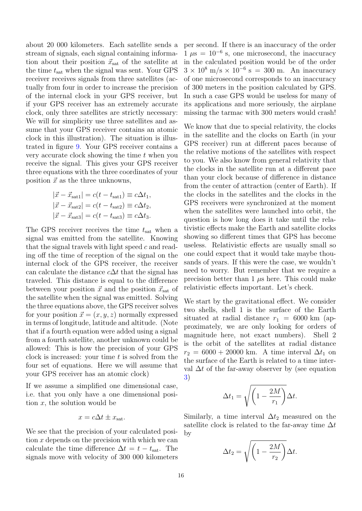about 20 000 kilometers. Each satellite sends a stream of signals, each signal containing information about their position  $\vec{x}_{\text{sat}}$  of the satellite at the time  $t_{\text{sat}}$  when the signal was sent. Your GPS receiver receives signals from three satellites (actually from four in order to increase the precision of the internal clock in your GPS receiver, but if your GPS receiver has an extremely accurate clock, only three satellites are strictly necessary: We will for simplicity use three satellites and assume that your GPS receiver contains an atomic clock in this illustration). The situation is illustrated in figure [9.](#page-14-0) Your GPS receiver contains a very accurate clock showing the time  $t$  when you receive the signal. This gives your GPS receiver three equations with the three coordinates of your position  $\vec{x}$  as the three unknowns,

$$
|\vec{x} - \vec{x}_{\text{sat1}}| = c(t - t_{\text{sat1}}) \equiv c\Delta t_1,
$$
  
\n
$$
|\vec{x} - \vec{x}_{\text{sat2}}| = c(t - t_{\text{sat2}}) \equiv c\Delta t_2,
$$
  
\n
$$
|\vec{x} - \vec{x}_{\text{sat3}}| = c(t - t_{\text{sat3}}) \equiv c\Delta t_3.
$$

The GPS receiver receives the time  $t_{\text{sat}}$  when a signal was emitted from the satellite. Knowing that the signal travels with light speed  $c$  and reading off the time of reception of the signal on the internal clock of the GPS receiver, the receiver can calculate the distance  $c\Delta t$  that the signal has traveled. This distance is equal to the difference between your position  $\vec{x}$  and the position  $\vec{x}_{\text{sat}}$  of the satellite when the signal was emitted. Solving the three equations above, the GPS receiver solves for your position  $\vec{x} = (x, y, z)$  normally expressed in terms of longitude, latitude and altitude. (Note that if a fourth equation were added using a signal from a fourth satellite, another unknown could be allowed: This is how the precision of your GPS clock is increased: your time  $t$  is solved from the four set of equations. Here we will assume that your GPS receiver has an atomic clock)

If we assume a simplified one dimensional case, i.e. that you only have a one dimensional position  $x$ , the solution would be

$$
x = c\Delta t \pm x_{\text{sat}}.
$$

We see that the precision of your calculated position x depends on the precision with which we can calculate the time difference  $\Delta t = t - t_{\text{sat}}$ . The signals move with velocity of 300 000 kilometers per second. If there is an inaccuracy of the order  $1 \mu s = 10^{-6}$  s, one microsecond, the inaccuracy in the calculated position would be of the order  $3 \times 10^8$  m/s  $\times 10^{-6}$  s = 300 m. An inaccuracy of one microsecond corresponds to an inaccuracy of 300 meters in the position calculated by GPS. In such a case GPS would be useless for many of its applications and more seriously, the airplane missing the tarmac with 300 meters would crash!

We know that due to special relativity, the clocks in the satellite and the clocks on Earth (in your GPS receiver) run at different paces because of the relative motions of the satellites with respect to you. We also know from general relativity that the clocks in the satellite run at a different pace than your clock because of difference in distance from the center of attraction (center of Earth). If the clocks in the satellites and the clocks in the GPS receivers were synchronized at the moment when the satellites were launched into orbit, the question is how long does it take until the relativistic effects make the Earth and satellite clocks showing so different times that GPS has become useless. Relativistic effects are usually small so one could expect that it would take maybe thousands of years. If this were the case, we wouldn't need to worry. But remember that we require a precision better than  $1 \mu s$  here. This could make relativistic effects important. Let's check.

We start by the gravitational effect. We consider two shells, shell 1 is the surface of the Earth situated at radial distance  $r_1 = 6000 \text{ km}$  (approximately, we are only looking for orders of magnitude here, not exact numbers). Shell 2 is the orbit of the satellites at radial distance  $r_2 = 6000 + 20000$  km. A time interval  $\Delta t_1$  on the surface of the Earth is related to a time interval  $\Delta t$  of the far-away observer by (see equation [3\)](#page-6-1)

$$
\Delta t_1 = \sqrt{\left(1 - \frac{2M}{r_1}\right)} \Delta t.
$$

Similarly, a time interval  $\Delta t_2$  measured on the satellite clock is related to the far-away time  $\Delta t$ by

$$
\Delta t_2 = \sqrt{\left(1 - \frac{2M}{r_2}\right)} \Delta t.
$$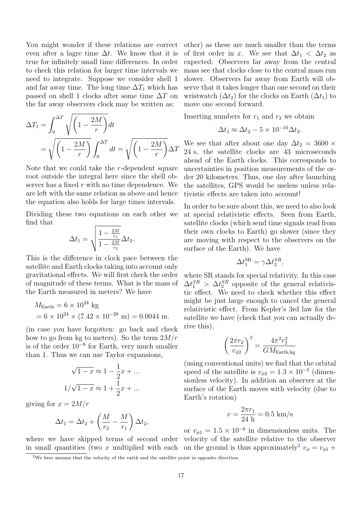You might wonder if these relations are correct even after a lagre time  $\Delta t$ . We know that it is true for infinitely small time differences. In order to check this relation for larger time intervals we need to integrate. Suppose we consider shell 1 and far away time. The long time  $\Delta T_1$  which has passed on shell 1 clocks after some time  $\Delta T$  on the far away observers clock may be written as:

$$
\Delta T_1 = \int_0^{\Delta T} \sqrt{\left(1 - \frac{2M}{r}\right)} dt
$$

$$
= \sqrt{\left(1 - \frac{2M}{r}\right)} \int_0^{\Delta T} dt = \sqrt{\left(1 - \frac{2M}{r}\right)} \Delta T
$$

Note that we could take the r-dependent square root outside the integral here since the shell observer has a fixed  $r$  with no time dependence. We are left with the same relation as above and hence the equation also holds for large times intervals.

Dividing these two equations on each other we find that

$$
\Delta t_1 = \sqrt{\frac{1 - \frac{2M}{r_1}}{1 - \frac{2M}{r_2}}}\Delta t_2.
$$

This is the difference in clock pace between the satellite and Earth clocks taking into account only gravitational effects. We will first check the order of magnitude of these terms. What is the mass of the Earth measured in meters? We have

$$
MEarth = 6 \times 1024 kg
$$
  
= 6 \times 10<sup>24</sup> \times (7.42 \times 10<sup>-28</sup> m) = 0.0044 m.

(in case you have forgotten: go back and check how to go from kg to meters). So the term  $2M/r$ is of the order  $10^{-8}$  for Earth, very much smaller than 1. Thus we can use Taylor expansions,

$$
\sqrt{1-x} \approx 1 - \frac{1}{2}x + \dots
$$

$$
1/\sqrt{1-x} \approx 1 + \frac{1}{2}x + \dots
$$

giving for  $x = 2M/r$ 

$$
\Delta t_1 = \Delta t_2 + \left(\frac{M}{r_2} - \frac{M}{r_1}\right) \Delta t_2,
$$

other) as these are much smaller than the terms of first order in x. We see that  $\Delta t_1 < \Delta t_2$  as expected: Observers far away from the central mass see that clocks close to the central mass run slower. Observers far away from Earth will observe that it takes longer than one second on their wristwatch  $(\Delta t_2)$  for the clocks on Earth  $(\Delta t_1)$  to move one second forward.

Inserting numbers for  $r_1$  and  $r_2$  we obtain

$$
\Delta t_1 \approx \Delta t_2 - 5 \times 10^{-10} \Delta t_2.
$$

We see that after about one day  $\Delta t_2 = 3600 \times$ 24 s, the satellite clocks are 43 microseconds ahead of the Earth clocks. This corresponds to uncertainties in position measurements of the order 20 kilometers. Thus, one day after launching the satellites, GPS would be useless unless relativistic effects are taken into account!

In order to be sure about this, we need to also look at special relativistic effects. Seen from Earth, satellite clocks (which send time signals read from their own clocks to Earth) go slower (since they are moving with respect to the observers on the surface of the Earth). We have

$$
\Delta t_1^{\rm SR} = \gamma \Delta t_2^{SR},
$$

where SR stands for special relativity. In this case  $\Delta t_1^{SR} > \Delta t_2^{SR}$  opposite of the general relativistic effect. We need to check whether this effect might be just large enough to cancel the general relativistic effect. From Kepler's 3rd law for the satellite we have (check that you can actually derive this),

$$
\left(\frac{2\pi r_2}{v_{\phi 2}}\right)^2 = \frac{4\pi^2 r_2^3}{GM_{\text{Earth},\text{kg}}}
$$

(using conventional units) we find that the orbital speed of the satellite is  $v_{\phi 2} = 1.3 \times 10^{-5}$  (dimensionless velocity). In addition an observer at the surface of the Earth moves with velocity (due to Earth's rotation)

$$
v = \frac{2\pi r_1}{24 \text{ h}} = 0.5 \text{ km/s}
$$

where we have skipped terms of second order velocity of the satellite relative to the observer in small quantities (two x multiplied with each on the ground is thus approximately<sup>[2](#page-16-0)</sup>  $v_{\phi} = v_{\phi 1} +$ or  $v_{\phi 1} = 1.5 \times 10^{-6}$  in dimensionless units. The

<span id="page-16-0"></span><sup>2</sup>We here assume that the velocity of the earth and the satellite point in opposite direction.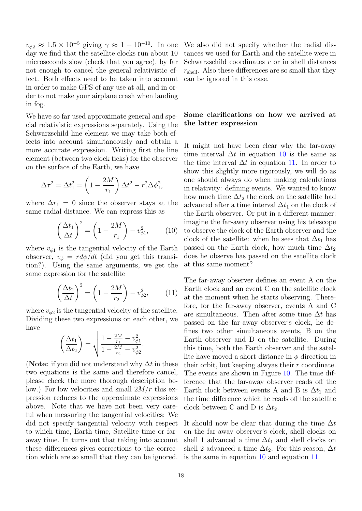$v_{\phi 2} \approx 1.5 \times 10^{-5}$  giving  $\gamma \approx 1 + 10^{-10}$ . In one day we find that the satellite clocks run about 10 microseconds slow (check that you agree), by far not enough to cancel the general relativistic effect. Both effects need to be taken into account in order to make GPS of any use at all, and in order to not make your airplane crash when landing in fog.

We have so far used approximate general and special relativistic expressions separately. Using the Schwarzschild line element we may take both effects into account simultaneously and obtain a more accurate expression. Writing first the line element (between two clock ticks) for the observer on the surface of the Earth, we have

$$
\Delta \tau^2 = \Delta t_1^2 = \left(1 - \frac{2M}{r_1}\right) \Delta t^2 - r_1^2 \Delta \phi_1^2,
$$

where  $\Delta r_1 = 0$  since the observer stays at the same radial distance. We can express this as

<span id="page-17-0"></span>
$$
\left(\frac{\Delta t_1}{\Delta t}\right)^2 = \left(1 - \frac{2M}{r_1}\right) - v_{\phi 1}^2,\tag{10}
$$

where  $v_{\phi 1}$  is the tangential velocity of the Earth observer,  $v_{\phi} = r d\phi/dt$  (did you get this transition?). Using the same arguments, we get the same expression for the satellite

<span id="page-17-1"></span>
$$
\left(\frac{\Delta t_2}{\Delta t}\right)^2 = \left(1 - \frac{2M}{r_2}\right) - v_{\phi 2}^2,\tag{11}
$$

where  $v_{\phi 2}$  is the tangential velocity of the satellite. Dividing these two expressions on each other, we have

$$
\left(\frac{\Delta t_1}{\Delta t_2}\right) = \sqrt{\frac{1 - \frac{2M}{r_1} - v_{\phi 1}^2}{1 - \frac{2M}{r_2} - v_{\phi 2}^2}}.
$$

(Note: if you did not understand why  $\Delta t$  in these two equations is the same and therefore cancel, please check the more thorough description below.) For low velocities and small  $2M/r$  this expression reduces to the approximate expressions above. Note that we have not been very careful when measuring the tangential velocities: We did not specify tangential velocity with respect to which time, Earth time, Satellite time or faraway time. In turns out that taking into account these differences gives corrections to the correction which are so small that they can be ignored. We also did not specify whether the radial distances we used for Earth and the satellite were in Schwarzschild coordinates r or in shell distances  $r_{shell}$ . Also these differences are so small that they can be ignored in this case.

## Some clarifications on how we arrived at the latter expression

It might not have been clear why the far-away time interval  $\Delta t$  in equation [10](#page-17-0) is the same as the time interval  $\Delta t$  in equation [11.](#page-17-1) In order to show this slightly more rigorously, we will do as one should always do when making calculations in relativity: defining events. We wanted to know how much time  $\Delta t_2$  the clock on the satellite had advanced after a time interval  $\Delta t_1$  on the clock of the Earth observer. Or put in a different manner: imagine the far-away observer using his telescope to observe the clock of the Earth observer and the clock of the satellite: when he sees that  $\Delta t_1$  has passed on the Earth clock, how much time  $\Delta t_2$ does he observe has passed on the satellite clock at this same moment?

The far-away observer defines an event A on the Earth clock and an event C on the satellite clock at the moment when he starts observing. Therefore, for the far-away observer, events A and C are simultaneous. Then after some time  $\Delta t$  has passed on the far-away observer's clock, he defines two other simultaneous events, B on the Earth observer and D on the satellite. During this time, both the Earth observer and the satellite have moved a short distance in  $\phi$  direction in their orbit, but keeping alwyas their r coordinate. The events are shown in Figure [10.](#page-18-0) The time difference that the far-away observer reads off the Earth clock between events A and B is  $\Delta t_1$  and the time difference which he reads off the satellite clock between C and D is  $\Delta t_2$ .

It should now be clear that during the time  $\Delta t$ on the far-away observer's clock, shell clocks on shell 1 advanced a time  $\Delta t_1$  and shell clocks on shell 2 advanced a time  $\Delta t_2$ . For this reason,  $\Delta t$ is the same in equation [10](#page-17-0) and equation [11.](#page-17-1)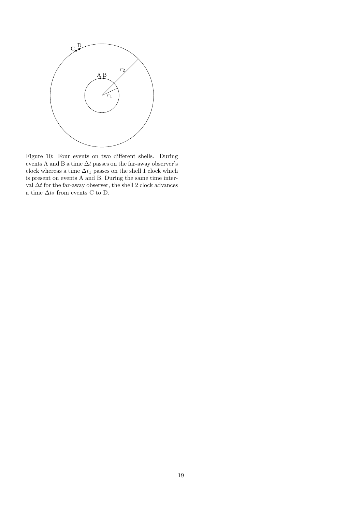

<span id="page-18-0"></span>Figure 10: Four events on two different shells. During events A and B a time  $\Delta t$  passes on the far-away observer's clock whereas a time  $\Delta t_1$  passes on the shell 1 clock which is present on events A and B. During the same time interval $\Delta t$  for the far-away observer, the shell 2 clock advances a time  $\Delta t_2$  from events C to D.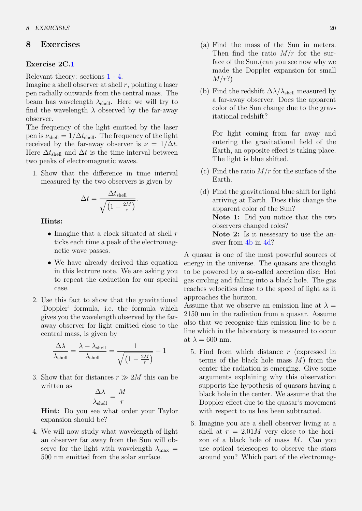## 8 Exercises

#### <span id="page-19-0"></span>Exercise 2C[.1](#page-19-0)

Relevant theory: sections [1](#page-1-0) - [4.](#page-5-0)

Imagine a shell observer at shell  $r$ , pointing a laser pen radially outwards from the central mass. The beam has wavelength  $\lambda_{\text{shell}}$ . Here we will try to find the wavelength  $\lambda$  observed by the far-away observer.

The frequency of the light emitted by the laser pen is  $\nu_{\text{shell}} = 1/\Delta t_{\text{shell}}$ . The frequency of the light received by the far-away observer is  $\nu = 1/\Delta t$ . Here  $\Delta t$ <sub>shell</sub> and  $\Delta t$  is the time interval between two peaks of electromagnetic waves.

1. Show that the difference in time interval measured by the two observers is given by

$$
\Delta t = \frac{\Delta t_{\text{shell}}}{\sqrt{\left(1 - \frac{2M}{r}\right)}}.
$$

Hints:

- Imagine that a clock situated at shell  $r$ ticks each time a peak of the electromagnetic wave passes.
- We have already derived this equation in this lectrure note. We are asking you to repeat the deduction for our special case.
- 2. Use this fact to show that the gravitational 'Doppler' formula, i.e. the formula which gives you the wavelength observed by the faraway observer for light emitted close to the central mass, is given by

$$
\frac{\Delta \lambda}{\lambda_{\rm shell}} = \frac{\lambda - \lambda_{\rm shell}}{\lambda_{\rm shell}} = \frac{1}{\sqrt{\left(1 - \frac{2M}{r}\right)}} - 1
$$

3. Show that for distances  $r \gg 2M$  this can be written as

$$
\frac{\Delta\lambda}{\lambda_{\text{shell}}} = \frac{M}{r}
$$

Hint: Do you see what order your Taylor expansion should be?

4. We will now study what wavelength of light an observer far away from the Sun will observe for the light with wavelength  $\lambda_{\text{max}} =$ 500 nm emitted from the solar surface.

- (a) Find the mass of the Sun in meters. Then find the ratio  $M/r$  for the surface of the Sun.(can you see now why we made the Doppler expansion for small  $M/r$ ?
- <span id="page-19-1"></span>(b) Find the redshift  $\Delta\lambda/\lambda_{\text{shell}}$  measured by a far-away observer. Does the apparent color of the Sun change due to the gravitational redshift?

For light coming from far away and entering the gravitational field of the Earth, an opposite effect is taking place. The light is blue shifted.

- (c) Find the ratio  $M/r$  for the surface of the Earth.
- <span id="page-19-2"></span>(d) Find the gravitational blue shift for light arriving at Earth. Does this change the apparent color of the Sun? Note 1: Did you notice that the two observers changed roles? Note 2: Is it nesses ary to use the answer from [4b](#page-19-1) in [4d?](#page-19-2)

A quasar is one of the most powerful sources of energy in the universe. The quasars are thought to be powered by a so-called accretion disc: Hot gas circling and falling into a black hole. The gas reaches velocities close to the speed of light as it approaches the horizon.

Assume that we observe an emission line at  $\lambda =$ 2150 nm in the radiation from a quasar. Assume also that we recognize this emission line to be a line which in the laboratory is measured to occur at  $\lambda = 600$  nm.

- 5. Find from which distance r (expressed in terms of the black hole mass  $M$ ) from the center the radiation is emerging. Give some arguments explaining why this observation supports the hypothesis of quasars having a black hole in the center. We assume that the Doppler effect due to the quasar's movement with respect to us has been subtracted.
- 6. Imagine you are a shell observer living at a shell at  $r = 2.01M$  very close to the horizon of a black hole of mass M. Can you use optical telescopes to observe the stars around you? Which part of the electromag-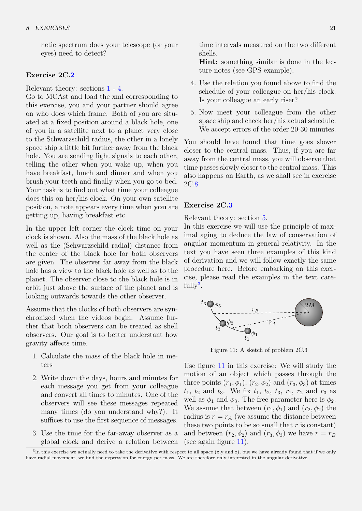netic spectrum does your telescope (or your eyes) need to detect?

#### <span id="page-20-0"></span>Exercise 2C[.2](#page-20-0)

Relevant theory: sections [1](#page-1-0) - [4.](#page-5-0)

Go to MCAst and load the xml corresponding to this exercise, you and your partner should agree on who does which frame. Both of you are situated at a fixed position around a black hole, one of you in a satellite next to a planet very close to the Schwarzschild radius, the other in a lonely space ship a little bit further away from the black hole. You are sending light signals to each other, telling the other when you wake up, when you have breakfast, lunch and dinner and when you brush your teeth and finally when you go to bed. Your task is to find out what time your colleague does this on her/his clock. On your own satellite position, a note appears every time when you are getting up, having breakfast etc.

In the upper left corner the clock time on your clock is shown. Also the mass of the black hole as well as the (Schwarzschild radial) distance from the center of the black hole for both observers are given. The observer far away from the black hole has a view to the black hole as well as to the planet. The observer close to the black hole is in orbit just above the surface of the planet and is looking outwards towards the other observer.

Assume that the clocks of both observers are synchronized when the videos begin. Assume further that both observers can be treated as shell observers. Our goal is to better understant how gravity affects time.

- 1. Calculate the mass of the black hole in meters
- 2. Write down the days, hours and minutes for each message you get from your colleague and convert all times to minutes. One of the observers will see these messages repeated many times (do you understand why?). It suffices to use the first sequence of messages.
- 3. Use the time for the far-away observer as a global clock and derive a relation between

time intervals measured on the two different shells.

Hint: something similar is done in the lecture notes (see GPS example).

- 4. Use the relation you found above to find the schedule of your colleague on her/his clock. Is your colleague an early riser?
- 5. Now meet your colleague from the other space ship and check her/his actual schedule. We accept errors of the order 20-30 minutes.

You should have found that time goes slower closer to the central mass. Thus, if you are far away from the central mass, you will observe that time passes slowly closer to the central mass. This also happens on Earth, as we shall see in exercise 2C[.8.](#page-24-0)

#### <span id="page-20-1"></span>Exercise 2C[.3](#page-20-1)

Relevant theory: section [5.](#page-7-2)

In this exercise we will use the principle of maximal aging to deduce the law of conservation of angular momentum in general relativity. In the text you have seen three examples of this kind of derivation and we will follow exactly the same procedure here. Before embarking on this exercise, please read the examples in the text care- $fully<sup>3</sup>$  $fully<sup>3</sup>$  $fully<sup>3</sup>$ .



<span id="page-20-3"></span>Figure 11: A sketch of problem 2C.3

Use figure [11](#page-20-3) in this exercise: We will study the motion of an object which passes through the three points  $(r_1, \phi_1)$ ,  $(r_2, \phi_2)$  and  $(r_3, \phi_3)$  at times  $t_1$ ,  $t_2$  and  $t_3$ . We fix  $t_1$ ,  $t_2$ ,  $t_3$ ,  $r_1$ ,  $r_2$  and  $r_3$  as well as  $\phi_1$  and  $\phi_3$ . The free parameter here is  $\phi_2$ . We assume that between  $(r_1, \phi_1)$  and  $(r_2, \phi_2)$  the radius is  $r = r_A$  (we assume the distance between these two points to be so small that  $r$  is constant) and between  $(r_2, \phi_2)$  and  $(r_3, \phi_3)$  we have  $r = r_B$ (see again figure [11\)](#page-20-3).

<span id="page-20-2"></span> ${}^{3}$ In this exercise we actually need to take the derivative with respect to all space (x,y and z), but we have already found that if we only have radial movement, we find the expression for energy per mass. We are therefore only interested in the angular derivative.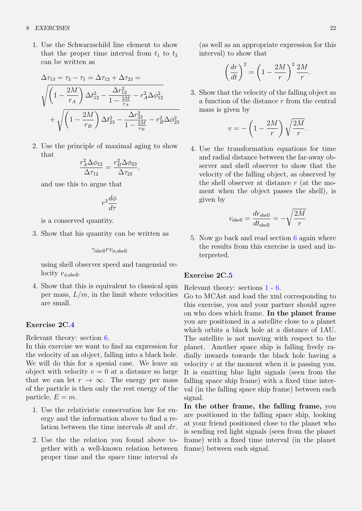1. Use the Schwarzschild line element to show that the proper time interval from  $t_1$  to  $t_3$ can be written as

$$
\Delta \tau_{13} = \tau_3 - \tau_1 = \Delta \tau_{12} + \Delta \tau_{23} =
$$
\n
$$
\sqrt{\left(1 - \frac{2M}{r_A}\right) \Delta t_{12}^2 - \frac{\Delta r_{12}^2}{1 - \frac{2M}{r_A}} - r_A^2 \Delta \phi_{12}^2}
$$
\n
$$
+ \sqrt{\left(1 - \frac{2M}{r_B}\right) \Delta t_{23}^2 - \frac{\Delta r_{23}^2}{1 - \frac{2M}{r_B}} - r_B^2 \Delta \phi_{23}^2}
$$

2. Use the principle of maximal aging to show that

$$
\frac{r_A^2 \Delta \phi_{12}}{\Delta \tau_{12}} = \frac{r_B^2 \Delta \phi_{23}}{\Delta \tau_{23}},
$$

and use this to argue that

$$
r^2\frac{d\phi}{d\tau}
$$

is a conserved quantity.

3. Show that his quantity can be written as

$$
\gamma_{\rm shell} rv_{\phi,\rm shell}
$$

using shell observer speed and tangensial velocity  $v_{\phi,\text{shell}}$ .

4. Show that this is equivalent to classical spin per mass,  $L/m$ , in the limit where velocities are small.

#### <span id="page-21-0"></span>Exercise 2C[.4](#page-21-0)

Relevant theory: section [6.](#page-13-1)

In this exercise we want to find an expression for the velocity of an object, falling into a black hole. We will do this for a spesial case. We leave an object with velocity  $v = 0$  at a distance so large that we can let  $r \to \infty$ . The energy per mass of the particle is then only the rest energy of the particle,  $E = m$ .

- 1. Use the relativistic conservation law for energy and the information above to find a relation between the time intervals dt and  $d\tau$ .
- 2. Use the the relation you found above together with a well-known relation between proper time and the space time interval ds

(as well as an appropriate expression for this interval) to show that

$$
\left(\frac{dr}{dt}\right)^2 = \left(1 - \frac{2M}{r}\right)^2 \frac{2M}{r}.
$$

3. Show that the velocity of the falling object as a function of the distance  $r$  from the central mass is given by

$$
v = -\left(1 - \frac{2M}{r}\right)\sqrt{\frac{2M}{r}}.
$$

4. Use the transformation equations for time and radial distance between the far-away observer and shell observer to show that the velocity of the falling object, as observed by the shell observer at distance  $r$  (at the moment when the object passes the shell), is given by

$$
v_{\rm shell} = \frac{dr_{\rm shell}}{dt_{\rm shell}} = -\sqrt{\frac{2M}{r}}
$$

5. Now go back and read section [6](#page-13-1) again where the results from this exercise is used and interpreted.

#### <span id="page-21-1"></span>Exercise 2C[.5](#page-21-1)

Relevant theory: sections [1](#page-1-0) - [6.](#page-13-1)

Go to MCAst and load the xml corresponding to this exercise, you and your partner should agree on who does which frame. In the planet frame you are positioned in a satellite close to a planet which orbits a black hole at a distance of 1AU. The satellite is not moving with respect to the planet. Another space ship is falling freely radially inwards towards the black hole having a velocity  $v$  at the moment when it is passing you. It is emitting blue light signals (seen from the falling space ship frame) with a fixed time interval (in the falling space ship frame) between each signal.

In the other frame, the falling frame, you are positioned in the falling space ship, looking at your friend positioned close to the planet who is sending red light signals (seen from the planet frame) with a fixed time interval (in the planet frame) between each signal.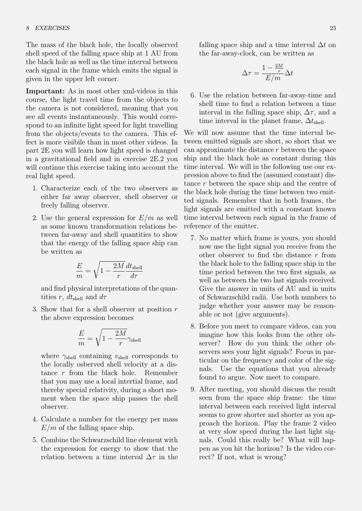The mass of the black hole, the locally observed shell speed of the falling space ship at 1 AU from the black hole as well as the time interval between each signal in the frame which emits the signal is given in the upper left corner.

Important: As in most other xml-videos in this course, the light travel time from the objects to the camera is not considered, meaning that you see all events instantaneously. This would correspond to an infinite light speed for light travelling from the objects/events to the camera. This effect is more visibile than in most other videos. In part 2E you will learn how light speed is changed in a gravitational field and in exercise 2E.2 you will continue this exercise taking into account the real light speed.

- 1. Characterize each of the two observers as either far away observer, shell observer or freely falling observer.
- 2. Use the general expression for  $E/m$  as well as some known transformation relations between far-away and shell quantities to show that the energy of the falling space ship can be written as

$$
\frac{E}{m} = \sqrt{1 - \frac{2M}{r}} \frac{dt_{\text{shell}}}{d\tau}
$$

and find physical interpretations of the quantities r,  $dt_{\text{shell}}$  and  $d\tau$ 

3. Show that for a shell observer at position  $r$ the above expression becomes

$$
\frac{E}{m} = \sqrt{1-\frac{2M}{r}}\gamma_{\rm shell}
$$

where  $\gamma_{\text{shell}}$  containing  $v_{\text{shell}}$  corresponds to the locally osberved shell velocity at a distance r from the black hole. Remember that you may use a local intertial frame, and thereby special relativity, during a short moment when the space ship passes the shell observer.

- 4. Calculate a number for the energy per mass  $E/m$  of the falling space ship.
- 5. Combine the Schwarzschild line element with the expression for energy to show that the relation between a time interval  $\Delta \tau$  in the

falling space ship and a time interval  $\Delta t$  on the far-away-clock, can be written as

$$
\Delta \tau = \frac{1 - \frac{2M}{r}}{E/m} \Delta t
$$

6. Use the relation between far-away-time and shell time to find a relation between a time interval in the falling space ship,  $\Delta \tau$ , and a time interval in the planet frame,  $\Delta t_{\text{shell}}$ .

We will now assume that the time interval between emitted signals are short, so short that we can approximate the distance  $r$  between the space ship and the black hole as constant during this time interval. We will in the following use our expression above to find the (assumed constant) distance r between the space ship and the centre of the black hole during the time between two emitted signals. Remember that in both frames, the light signals are emitted with a constant known time interval between each signal in the frame of reference of the emitter.

- 7. No matter which frame is yours, you should now use the light signal you receive from the other observer to find the distance  $r$  from the black hole to the falling space ship in the time period between the two first signals, as well as between the two last signals received. Give the answer in units of AU and in units of Schwarzschild radii. Use both numbers to judge whether your answer may be reasonable or not (give arguments).
- 8. Before you meet to compare videos, can you imagine how this looks from the other observer? How do you think the other observers sees your light signals? Focus in particular on the frequency and color of the signals. Use the equations that you already found to argue. Now meet to compare.
- 9. After meeting, you should discuss the result seen from the space ship frame: the time interval between each received light interval seems to grow shorter and shorter as you approach the horizon. Play the frame 2 video at very slow speed during the last light signals. Could this really be? What will happen as you hit the horizon? Is the video correct? If not, what is wrong?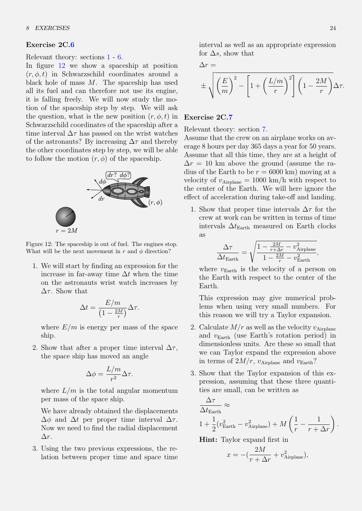#### <span id="page-23-0"></span>Exercise 2C[.6](#page-23-0)

Relevant theory: sections [1](#page-1-0) - [6.](#page-13-1)

In figure [12](#page-23-1) we show a spaceship at position  $(r, \phi, t)$  in Schwarzschild coordinates around a black hole of mass  $M$ . The spaceship has used all its fuel and can therefore not use its engine, it is falling freely. We will now study the motion of the spaceship step by step. We will ask the question, what is the new position  $(r, \phi, t)$  in Schwarzschild coordinates of the spaceship after a time interval  $\Delta \tau$  has passed on the wrist watches of the astronauts? By increasing  $\Delta \tau$  and thereby the other coordinates step by step, we will be able to follow the motion  $(r, \phi)$  of the spaceship.



<span id="page-23-1"></span>Figure 12: The spaceship is out of fuel. The engines stop. What will be the next movement in r and  $\phi$  direction?

1. We will start by finding an expression for the increase in far-away time  $\Delta t$  when the time on the astronauts wrist watch increases by  $\Delta \tau$ . Show that

$$
\Delta t = \frac{E/m}{\left(1 - \frac{2M}{r}\right)} \Delta \tau.
$$

where  $E/m$  is energy per mass of the space ship.

2. Show that after a proper time interval  $\Delta \tau$ , the space ship has moved an angle

$$
\Delta \phi = \frac{L/m}{r^2} \Delta \tau.
$$

where  $L/m$  is the total angular momentum per mass of the space ship.

We have already obtained the displacements  $\Delta\phi$  and  $\Delta t$  per proper time interval  $\Delta\tau$ . Now we need to find the radial displacement ∆r.

3. Using the two previous expressions, the relation between proper time and space time interval as well as an appropriate expression for  $\Delta s$ , show that

$$
\Delta r =
$$

$$
\pm \sqrt{\left(\frac{E}{m}\right)^2 - \left[1 + \left(\frac{L/m}{r}\right)^2\right] \left(1 - \frac{2M}{r}\right)} \Delta \tau.
$$

#### <span id="page-23-2"></span>Exercise 2C[.7](#page-23-2)

Relevant theory: section [7.](#page-14-1)

Assume that the crew on an airplane works on average 8 hours per day 365 days a year for 50 years. Assume that all this time, they are at a height of  $\Delta r = 10$  km above the ground (assume the radius of the Earth to be  $r = 6000 \text{ km}$  moving at a velocity of  $v_{\text{Airplane}} = 1000 \text{ km/h}$  with respect to the center of the Earth. We will here ignore the effect of acceleration during take-off and landing.

1. Show that proper time intervals  $\Delta \tau$  for the crew at work can be written in terms of time intervals  $\Delta t_{\text{Earth}}$  measured on Earth clocks as

$$
\frac{\Delta \tau}{\Delta t_{\text{Earth}}} = \sqrt{\frac{1 - \frac{2M}{r + \Delta r} - v_{\text{Airplane}}^2}{1 - \frac{2M}{r} - v_{\text{Earth}}^2}},
$$

where  $v_{\text{Earth}}$  is the velocity of a person on the Earth with respect to the center of the Earth.

This expression may give numerical problems when using very small numbers. For this reason we will try a Taylor expansion.

- 2. Calculate  $M/r$  as well as the velocity  $v_{\text{Airplane}}$ and  $v_{\text{Earth}}$  (use Earth's rotation period) in dimensionless units. Are these so small that we can Taylor expand the expression above in terms of  $2M/r$ ,  $v_{\text{Airplane}}$  and  $v_{\text{Earth}}$ ?
- 3. Show that the Taylor expansion of this expression, assuming that these three quantities are small, can be written as

$$
\frac{\Delta \tau}{\Delta t_{\text{Earth}}} \approx 1 + \frac{1}{2} (v_{\text{Earth}}^2 - v_{\text{Airplane}}^2) + M \left( \frac{1}{r} - \frac{1}{r + \Delta r} \right).
$$

Hint: Taylor expand first in

$$
x = -(\frac{2M}{r + \Delta r} + v_{\text{Airplane}}^2),
$$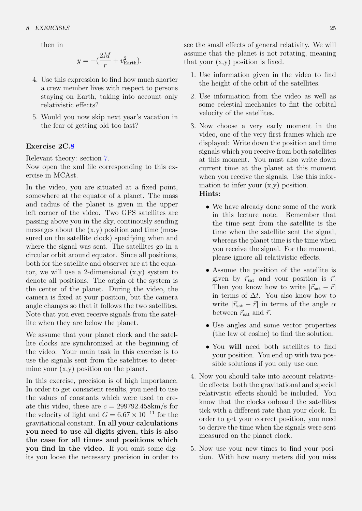#### 8 EXERCISES 25

then in

$$
y = -(\frac{2M}{r} + v_{\text{Earth}}^2).
$$

- 4. Use this expression to find how much shorter a crew member lives with respect to persons staying on Earth, taking into account only relativistic effects?
- 5. Would you now skip next year's vacation in the fear of getting old too fast?

#### <span id="page-24-0"></span>Exercise 2C[.8](#page-24-0)

Relevant theory: section [7.](#page-14-1)

Now open the xml file corresponding to this exercise in MCAst.

In the video, you are situated at a fixed point, somewhere at the equator of a planet. The mass and radius of the planet is given in the upper left corner of the video. Two GPS satellites are passing above you in the sky, continously sending messages about the  $(x,y)$  position and time (measured on the satellite clock) specifying when and where the signal was sent. The satellites go in a circular orbit around equator. Since all positions, both for the satellite and observer are at the equator, we will use a 2-dimensional  $(x, y)$  system to denote all positions. The origin of the system is the center of the planet. During the video, the camera is fixed at your position, but the camera angle changes so that it follows the two satellites. Note that you even receive signals from the satellite when they are below the planet.

We assume that your planet clock and the satellite clocks are synchronized at the beginning of the video. Your main task in this exercise is to use the signals sent from the satelittes to determine your  $(x,y)$  position on the planet.

In this exercise, precision is of high importance. In order to get consistent results, you need to use the values of constants which were used to create this video, these are  $c = 299792.458 \text{km/s}$  for the velocity of light and  $G = 6.67 \times 10^{-11}$  for the gravitational constant. In all your calculations you need to use all digits given, this is also the case for all times and positions which you find in the video. If you omit some digits you loose the necessary precision in order to

see the small effects of general relativity. We will assume that the planet is not rotating, meaning that your (x,y) position is fixed.

- 1. Use information given in the video to find the height of the orbit of the satellites.
- 2. Use information from the video as well as some celestial mechanics to fint the orbital velocity of the satellites.
- 3. Now choose a very early moment in the video, one of the very first frames which are displayed: Write down the position and time signals which you receive from both satellites at this moment. You must also write down current time at the planet at this moment when you receive the signals. Use this information to infer your (x,y) position. Hints:
	-
	- We have already done some of the work in this lecture note. Remember that the time sent from the satellite is the time when the satellite sent the signal, whereas the planet time is the time when you receive the signal. For the moment, please ignore all relativistic effects.
	- Assume the position of the satellite is given by  $\vec{r}_{\rm sat}$  and your position is  $\vec{r}$ . Then you know how to write  $|\vec{r}_{\rm sat} - \vec{r}|$ in terms of  $\Delta t$ . You also know how to write  $|\vec{r}_{\text{sat}} - \vec{r}|$  in terms of the angle  $\alpha$ between  $\vec{r}_{\text{sat}}$  and  $\vec{r}$ .
	- Use angles and some vector properties (the law of cosine) to find the solution.
	- You will need both satellites to find your position. You end up with two possible solutions if you only use one.
- 4. Now you should take into account relativistic effects: both the gravitational and special relativistic effects should be included. You know that the clocks onboard the satellites tick with a different rate than your clock. In order to get your correct position, you need to derive the time when the signals were sent measured on the planet clock.
- 5. Now use your new times to find your position. With how many meters did you miss